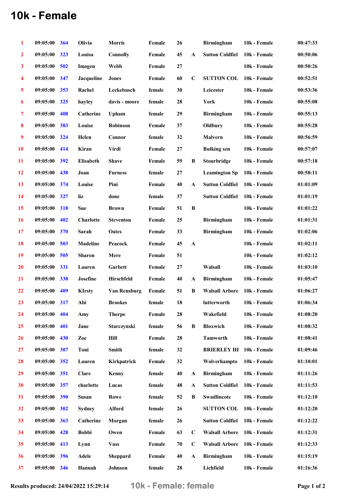## 10k - Female

| 1                       | 09:05:00       | 364 | Olivia            | <b>Morris</b>    | Female | 26       |                      | <b>Birmingham</b>      | 10k - Female | 00:47:33 |
|-------------------------|----------------|-----|-------------------|------------------|--------|----------|----------------------|------------------------|--------------|----------|
| $\overline{2}$          | 09:05:00       | 323 | Louisa            | <b>Connolly</b>  | Female | 45       | $\mathbf{A}$         | <b>Sutton Coldfiel</b> | 10k - Female | 00:50:06 |
| $\mathbf{3}$            | 09:05:00       | 502 | Imogen            | Webb             | Female | $\bf 27$ |                      |                        | 10k - Female | 00:50:26 |
| 4                       | 09:05:00       | 347 | <b>Jacqueline</b> | <b>Jones</b>     | Female | 60       | $\mathbf C$          | <b>SUTTON COL</b>      | 10k - Female | 00:52:51 |
| $\overline{\mathbf{5}}$ | 09:05:00       | 353 | Rachel            | Leckebusch       | female | 30       |                      | Leicester              | 10k - Female | 00:53:36 |
| $\boldsymbol{6}$        | 09:05:00       | 325 | hayley            | davis - moore    | female | 28       |                      | York                   | 10k - Female | 00:55:08 |
| $\overline{7}$          | 09:05:00       | 408 | Catherine         | Upham            | female | 29       |                      | <b>Birmingham</b>      | 10k - Female | 00:55:13 |
| 8                       | 09:05:00       | 383 | Louise            | <b>Robinson</b>  | Female | 37       |                      | Oldbury                | 10k - Female | 00:55:28 |
| $\boldsymbol{9}$        | 09:05:00       | 324 | Helen             | Connor           | female | 32       |                      | Malvern                | 10k - Female | 00:56:59 |
| 10                      | 09:05:00       | 414 | Kiran             | <b>Virdi</b>     | Female | 27       |                      | <b>Bulking</b> szn     | 10k - Female | 00:57:07 |
| 11                      | 09:05:00       | 392 | Elisabeth         | <b>Shave</b>     | Female | 59       | B                    | Stourbridge            | 10k - Female | 00:57:18 |
| 12                      | 09:05:00       | 438 | Joan              | <b>Furness</b>   | female | 27       |                      | <b>Leamington Sp</b>   | 10k - Female | 00:58:11 |
| 13                      | 09:05:00       | 374 | Louise            | Pini             | Female | 40       | $\mathbf{A}$         | <b>Sutton Coldfiel</b> | 10k - Female | 01:01:09 |
| 14                      | 09:05:00       | 327 | liz               | done             | female | 37       |                      | <b>Sutton Coldfiel</b> | 10k - Female | 01:01:19 |
| 15                      | 09:05:00       | 318 | <b>Sue</b>        | <b>Brown</b>     | Female | 51       | $\bf{B}$             |                        | 10k - Female | 01:01:22 |
| <b>16</b>               | 09:05:00       | 402 | <b>Charlotte</b>  | <b>Steventon</b> | Female | 25       |                      | <b>Birmingham</b>      | 10k - Female | 01:01:31 |
| 17                      | 09:05:00       | 370 | Sarah             | Oates            | Female | 33       |                      | <b>Birmingham</b>      | 10k - Female | 01:02:06 |
| 18                      | 09:05:00       | 503 | Madeline          | Peacock          | Female | 45       | $\boldsymbol{\rm A}$ |                        | 10k - Female | 01:02:11 |
| 19                      | 09:05:00       | 505 | <b>Sharon</b>     | Mere             | Female | 51       |                      |                        | 10k - Female | 01:02:12 |
| <b>20</b>               | 09:05:00       | 331 | Lauren            | Garbett          | Female | 27       |                      | Walsall                | 10k - Female | 01:03:10 |
| 21                      | 09:05:00       | 338 | Josefine          | Hirschfeld       | Female | 40       | A                    | <b>Birmingham</b>      | 10k - Female | 01:05:47 |
| 22                      | 09:05:00       | 409 | <b>KIrsty</b>     | Van Rensburg     | Female | 51       | B                    | <b>Walsall Arbore</b>  | 10k - Female | 01:06:27 |
| 23                      | $09:05:00$ 317 |     | Abi               | <b>Brookes</b>   | female | 18       |                      | lutterworth            | 10k - Female | 01:06:34 |
| 24                      | 09:05:00       | 404 | Amy               | <b>Thorpe</b>    | Female | 28       |                      | Wakefield              | 10k - Female | 01:08:20 |
| 25                      | 09:05:00       | 401 | Jane              | Starczynski      | female | 56       | B                    | <b>Bloxwich</b>        | 10k - Female | 01:08:32 |
| 26                      | 09:05:00       | 430 | Zoe               | Hill             | Female | 28       |                      | <b>Tamworth</b>        | 10k - Female | 01:08:41 |
| 27                      | 09:05:00       | 307 | Toni              | <b>Smith</b>     | female | 32       |                      | <b>BRIERLEY HI</b>     | 10k - Female | 01:09:46 |
| 28                      | 09:05:00       | 352 | Lauren            | Kirkpatrick      | Female | 32       |                      | Wolverhampto           | 10k - Female | 01:10:01 |
| 29                      | 09:05:00       | 351 | Clare             | Kenny            | female | 40       | $\mathbf{A}$         | <b>Birmingham</b>      | 10k - Female | 01:11:26 |
| 30                      | 09:05:00       | 357 | charlotte         | Lucas            | female | 48       | $\mathbf A$          | <b>Sutton Coldfiel</b> | 10k - Female | 01:11:53 |
| 31                      | 09:05:00       | 390 | <b>Susan</b>      | Rowe             | female | 52       | B                    | Swadlincote            | 10k - Female | 01:12:10 |
| 32                      | 09:05:00       | 302 | <b>Sydney</b>     | <b>Alford</b>    | female | 26       |                      | <b>SUTTON COL</b>      | 10k - Female | 01:12:20 |
| 33                      | 09:05:00       | 363 | Catherine         | Morgan           | female | 26       |                      | <b>Sutton Coldfiel</b> | 10k - Female | 01:12:22 |
| 34                      | 09:05:00       | 428 | <b>Bobbi</b>      | Owen             | Female | 63       | $\mathbf C$          | <b>Walsall Arbore</b>  | 10k - Female | 01:12:31 |
| 35                      | 09:05:00       | 413 | Lynn              | <b>Vass</b>      | Female | 70       | $\mathbf C$          | <b>Walsall Arbore</b>  | 10k - Female | 01:12:33 |
| 36                      | 09:05:00       | 396 | Adele             | Sheppard         | Female | 40       | $\mathbf{A}$         | <b>Birmingham</b>      | 10k - Female | 01:15:19 |
| 37                      | 09:05:00       | 346 | Hannah            | Johnson          | female | 28       |                      | Lichfield              | 10k - Female | 01:16:36 |